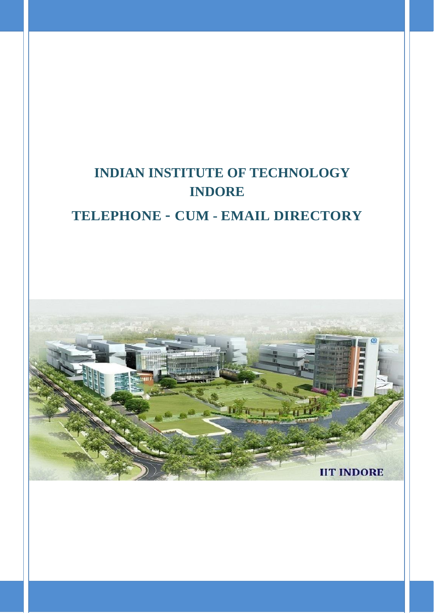# **INDIAN INSTITUTE OF TECHNOLOGY INDORE**

## **TELEPHONE** *–* **CUM - EMAIL DIRECTORY**

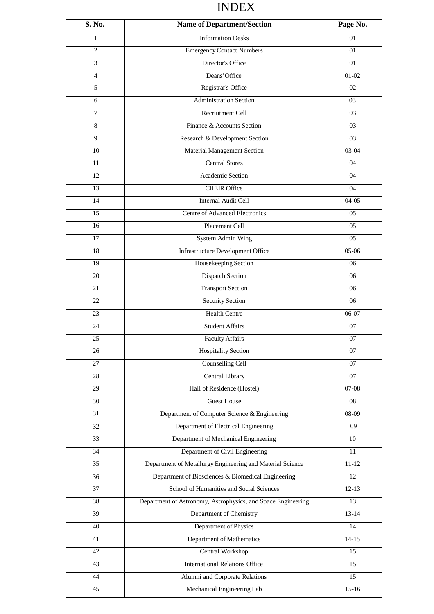## INDEX

| S. No.          | <b>Name of Department/Section</b>                            | Page No.        |
|-----------------|--------------------------------------------------------------|-----------------|
| 1               | <b>Information Desks</b>                                     | 01              |
| $\overline{2}$  | <b>Emergency Contact Numbers</b>                             | 01              |
| 3               | Director's Office                                            | 01              |
| $\overline{4}$  | Deans' Office                                                | $01-02$         |
| 5               | Registrar's Office                                           | 02              |
| 6               | <b>Administration Section</b>                                | 03              |
| $\tau$          | Recruitment Cell                                             | 03              |
| 8               | Finance & Accounts Section                                   | 03              |
| 9               | Research & Development Section                               | 03              |
| 10              | Material Management Section                                  | 03-04           |
| 11              | <b>Central Stores</b>                                        | 04              |
| $\overline{12}$ | <b>Academic Section</b>                                      | 04              |
| 13              | <b>CIIEIR Office</b>                                         | 04              |
| 14              | <b>Internal Audit Cell</b>                                   | $04-05$         |
| 15              | <b>Centre of Advanced Electronics</b>                        | 05              |
| 16              | Placement Cell                                               | 05              |
| $\overline{17}$ | <b>System Admin Wing</b>                                     | $\overline{05}$ |
| 18              | <b>Infrastructure Development Office</b>                     | $05-06$         |
| $\overline{19}$ | Housekeeping Section                                         | 06              |
| 20              | <b>Dispatch Section</b>                                      | 06              |
| 21              | <b>Transport Section</b>                                     | 06              |
| 22              | <b>Security Section</b>                                      | 06              |
| 23              | <b>Health Centre</b>                                         | $06-07$         |
| 24              | <b>Student Affairs</b>                                       | 07              |
| 25              | <b>Faculty Affairs</b>                                       | 07              |
| 26              | <b>Hospitality Section</b>                                   | 07              |
| $\overline{27}$ | <b>Counselling Cell</b>                                      | 07              |
| 28              | Central Library                                              | 07              |
| 29              | Hall of Residence (Hostel)                                   | $07-08$         |
| 30              | <b>Guest House</b>                                           | 08              |
| 31              | Department of Computer Science & Engineering                 | 08-09           |
| 32              | Department of Electrical Engineering                         | 09              |
| 33              | Department of Mechanical Engineering                         | 10              |
| $\overline{34}$ | Department of Civil Engineering                              | 11              |
| 35              | Department of Metallurgy Engineering and Material Science    | $11 - 12$       |
| 36              | Department of Biosciences & Biomedical Engineering           | 12              |
| $\overline{37}$ | School of Humanities and Social Sciences                     | $12-13$         |
| $\overline{38}$ | Department of Astronomy, Astrophysics, and Space Engineering | $\overline{13}$ |
| 39              | Department of Chemistry                                      | $13-14$         |
| 40              | Department of Physics                                        | 14              |
| 41              | Department of Mathematics                                    | $14-15$         |
| 42              | Central Workshop                                             | $\overline{15}$ |
| 43              | <b>International Relations Office</b>                        | $\overline{15}$ |
| 44              | Alumni and Corporate Relations                               | 15              |
| 45              | Mechanical Engineering Lab                                   | $15-16$         |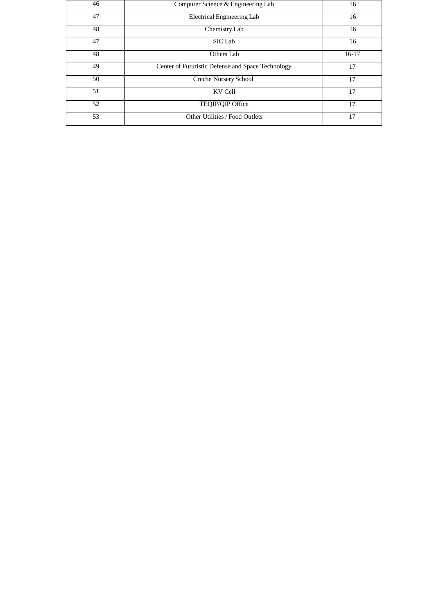| 46 | Computer Science & Engineering Lab                | 16      |
|----|---------------------------------------------------|---------|
| 47 | Electrical Engineering Lab                        | 16      |
| 48 | Chemistry Lab                                     | 16      |
| 47 | SIC Lab                                           | 16      |
| 48 | Others Lab                                        | $16-17$ |
| 49 | Center of Futuristic Defense and Space Technology | 17      |
| 50 | Creche Nursery School                             | 17      |
| 51 | KV Cell                                           | 17      |
| 52 | TEQIP/QIP Office                                  | 17      |
| 53 | Other Utilities / Food Outlets                    | 17      |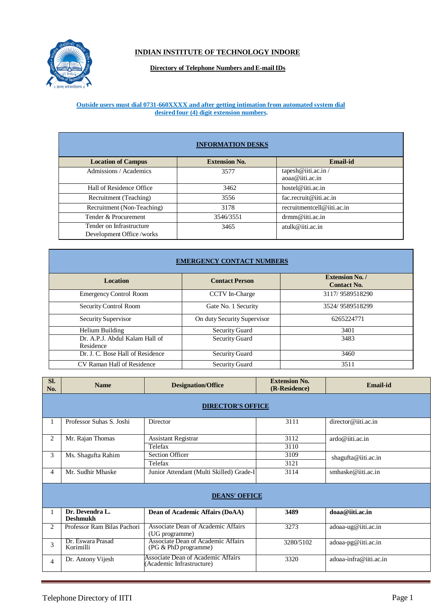

## **INDIAN INSTITUTE OF TECHNOLOGY INDORE**

### **Directory of Telephone Numbers and E-mailIDs**

#### **Outside users must dial 0731-660XXXX and after getting intimation from automated system dial desired four (4) digit extension numbers.**

|                                                      | <b>INFORMATION DESKS</b> |                                              |
|------------------------------------------------------|--------------------------|----------------------------------------------|
| <b>Location of Campus</b>                            | <b>Extension No.</b>     | <b>Email-id</b>                              |
| Admissions / Academics                               | 3577                     | tapesh@iiti.ac.in/<br>$a$ oaa $@$ iiti.ac.in |
| Hall of Residence Office                             | 3462                     | hostel@iiti.ac.in                            |
| Recruitment (Teaching)                               | 3556                     | fac.recruit@iiti.ac.in                       |
| Recruitment (Non-Teaching)                           | 3178                     | recruitmentcell@iiti.ac.in                   |
| Tender & Procurement                                 | 3546/3551                | $d$ rmm@iiti.ac.in                           |
| Tender on Infrastructure<br>Development Office/works | 3465                     | atulk@iii.ac.in                              |

|                                             |                             | <b>Extension No. /</b> |
|---------------------------------------------|-----------------------------|------------------------|
| <b>Location</b>                             | <b>Contact Person</b>       | <b>Contact No.</b>     |
| <b>Emergency Control Room</b>               | CCTV In-Charge              | 3117/9589518290        |
| Security Control Room                       | Gate No. 1 Security         | 3524/9589518299        |
| Security Supervisor                         | On duty Security Supervisor | 6265224771             |
| Helium Building                             | Security Guard              | 3401                   |
| Dr. A.P.J. Abdul Kalam Hall of<br>Residence | <b>Security Guard</b>       | 3483                   |
| Dr. J. C. Bose Hall of Residence            | <b>Security Guard</b>       | 3460                   |
| CV Raman Hall of Residence                  | Security Guard              | 3511                   |

| SI.<br>No.     | <b>Name</b>                        | <b>Designation/Office</b>                                      | <b>Extension No.</b><br>(R-Residence) | Email-id               |
|----------------|------------------------------------|----------------------------------------------------------------|---------------------------------------|------------------------|
|                |                                    | <b>DIRECTOR'S OFFICE</b>                                       |                                       |                        |
|                | Professor Suhas S. Joshi           | Director                                                       | 3111                                  | director@iiti.ac.in    |
| $\overline{c}$ | Mr. Rajan Thomas                   | <b>Assistant Registrar</b>                                     | 3112                                  | ardo@iiti.ac.in        |
|                |                                    | Telefax                                                        | 3110                                  |                        |
| 3              | Ms. Shagufta Rahim                 | <b>Section Officer</b>                                         | 3109                                  | shagufta@iiti.ac.in    |
|                |                                    | Telefax                                                        | 3121                                  |                        |
| 4              | Mr. Sudhir Mhaske                  | Junior Attendant (Multi Skilled) Grade-I                       | 3114                                  | smhaske@iiti.ac.in     |
|                |                                    | <b>DEANS' OFFICE</b>                                           |                                       |                        |
|                | Dr. Devendra L.<br><b>Deshmukh</b> | Dean of Academic Affairs (DoAA)                                | 3489                                  | doaa@iiti.ac.in        |
| 2              | Professor Ram Bilas Pachori        | Associate Dean of Academic Affairs<br>(UG programme)           | 3273                                  | adoaa-ug@iiti.ac.in    |
| 3              | Dr. Eswara Prasad<br>Korimilli     | Associate Dean of Academic Affairs<br>(PG & PhD programme)     | 3280/5102                             | adoaa-pg@iiti.ac.in    |
| 4              | Dr. Antony Vijesh                  | Associate Dean of Academic Affairs<br>Academic Infrastructure) | 3320                                  | adoaa-infra@iiti.ac.in |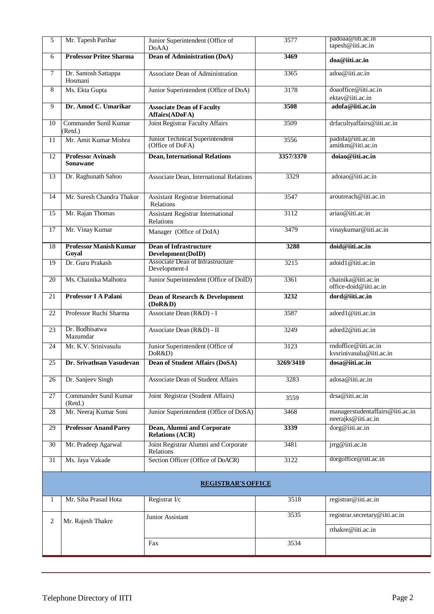| 5      | Mr. Tapesh Parihar                          | Junior Superintendent (Office of<br>DoAA)             | 3577             | padoaa@iiti.ac.in<br>tapesh@iiti.ac.in                  |
|--------|---------------------------------------------|-------------------------------------------------------|------------------|---------------------------------------------------------|
| 6      | <b>Professor Pritee Sharma</b>              | <b>Dean of Administration (DoA)</b>                   | 3469             | doa@iiti.ac.in                                          |
| $\tau$ | Dr. Santosh Sattappa<br>Hosmani             | Associate Dean of Administration                      | 3365             | adoa@iiti.ac.in                                         |
| 8      | Ms. Ekta Gupta                              | Junior Superintendent (Office of DoA)                 | 3178             | doaoffice@iiti.ac.in<br>ektav@iiti.ac.in                |
| 9      | Dr. Amod C. Umarikar                        | <b>Associate Dean of Faculty</b><br>Affairs(ADoFA)    | 3508             | adofa@iiti.ac.in                                        |
| 10     | Commander Sunil Kumar<br>(Retd.)            | Joint Registrar Faculty Affairs                       | 3509             | drfacultyaffairs@iiti.ac.in                             |
| 11     | Mr. Amit Kumar Mishra                       | Junior Technical Superintendent<br>(Office of DoFA)   | 3556             | padofa@iiti.ac.in<br>amitkm@iiti.ac.in                  |
| 12     | <b>Professor Avinash</b><br><b>Sonawane</b> | <b>Dean, International Relations</b>                  | 3357/3370        | doiao@iiti.ac.in                                        |
| 13     | Dr. Raghunath Sahoo                         | Associate Dean, International Relations               | 3329             | adoiao@iiti.ac.in                                       |
| 14     | Mr. Suresh Chandra Thakur                   | <b>Assistant Registrar International</b><br>Relations | 3547             | aroutreach@iiti.ac.in                                   |
| 15     | Mr. Rajan Thomas                            | <b>Assistant Registrar International</b><br>Relations | 3112             | ariao@iiti.ac.in                                        |
| 17     | Mr. Vinay Kumar                             | Manager (Office of DoIA)                              | 3479             | vinaykumar@iiti.ac.in                                   |
| 18     | <b>Professor Manish Kumar</b><br>Goyal      | <b>Dean of Infrastructure</b><br>Development (DoID)   | 3288             | doid@iiti.ac.in                                         |
| 19     | Dr. Guru Prakash                            | Associate Dean of Infrastructure<br>Development-I     | 3215             | adoid1@iiti.ac.in                                       |
| 20     | Ms. Chainika Malhotra                       | Junior Superintendent (Office of DoID)                | 3361             | chainika@iiti.ac.in<br>office-doid@iiti.ac.in           |
| 21     | Professor I A Palani                        | Dean of Research & Development<br>(DoR&D)             | 3232             | dord@iiti.ac.in                                         |
| 22     | Professor Ruchi Sharma                      | Associate Dean (R&D) - I                              | 3587             | adord1@iiti.ac.in                                       |
| 23     | Dr. Bodhisatwa<br>Mazumdar                  | Associate Dean (R&D) - II                             | 3249             | adord2@iiti.ac.in                                       |
| 24     | Mr. K.V. Srinivasulu                        | Junior Superintendent (Office of<br>DoR&D)            | 3123             | rndoffice@iiti.ac.in<br>kvsrinivasulu@iiti.ac.in        |
| 25     | Dr. Srivathsan Vasudevan                    | Dean of Student Affairs (DoSA)                        | <b>3269/3410</b> | dosa@iiti.ac.in                                         |
| 26     | Dr. Sanjeev Singh                           | <b>Associate Dean of Student Affairs</b>              | 3283             | adosa@iiti.ac.in                                        |
| 27     | Commander Sunil Kumar<br>(Retd.)            | Joint Registrar (Student Affairs)                     | 3559             | drsa@iiti.ac.in                                         |
| 28     | Mr. Neeraj Kumar Soni                       | Junior Superintendent (Office of DoSA)                | 3468             | managerstudentaffairs@iiti.ac.in<br>neerajks@iiti.ac.in |
| 29     | <b>Professor Anand Parey</b>                | Dean, Alumni and Corporate<br><b>Relations (ACR)</b>  | 3339             | dorg@iiti.ac.in                                         |
| 30     | Mr. Pradeep Agarwal                         | Joint Registrar Alumni and Corporate<br>Relations     | 3481             | $irrg@$ iiti.ac.in                                      |
| 31     | Ms. Jaya Vakade                             | Section Officer (Office of DoACR)                     | 3122             | dorgoffice@iiti.ac.in                                   |
|        |                                             | <b>REGISTRAR'S OFFICE</b>                             |                  |                                                         |
| 1      | Mr. Siba Prasad Hota                        | Registrar I/c                                         | 3518             | registrar@iiti.ac.in                                    |
| 2      | Mr. Rajesh Thakre                           | Junior Assistant                                      | 3535             | registrar.secretary@iiti.ac.in                          |
|        |                                             |                                                       |                  | rthakre@iiti.ac.in                                      |
|        |                                             | Fax                                                   | 3534             |                                                         |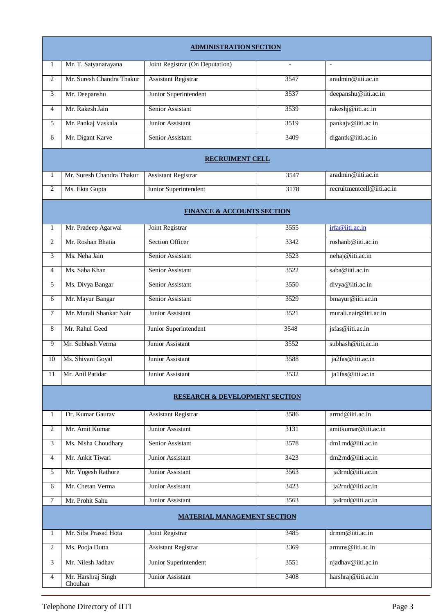|                |                               | <b>ADMINISTRATION SECTION</b>             |                          |                            |
|----------------|-------------------------------|-------------------------------------------|--------------------------|----------------------------|
| 1              | Mr. T. Satyanarayana          | Joint Registrar (On Deputation)           | $\overline{\phantom{a}}$ | $\blacksquare$             |
| 2              | Mr. Suresh Chandra Thakur     | <b>Assistant Registrar</b>                | 3547                     | aradmin@iiti.ac.in         |
| 3              | Mr. Deepanshu                 | Junior Superintendent                     | 3537                     | deepanshu@iiti.ac.in       |
| 4              | Mr. Rakesh Jain               | Senior Assistant                          | 3539                     | rakeshj@iiti.ac.in         |
| 5              | Mr. Pankaj Vaskala            | Junior Assistant                          | 3519                     | pankajv@iiti.ac.in         |
| 6              | Mr. Digant Karve              | Senior Assistant                          | 3409                     | digantk@iiti.ac.in         |
|                |                               | <b>RECRUIMENT CELL</b>                    |                          |                            |
| 1              | Mr. Suresh Chandra Thakur     | <b>Assistant Registrar</b>                | 3547                     | aradmin@iiti.ac.in         |
| 2              | Ms. Ekta Gupta                | Junior Superintendent                     | 3178                     | recruitmentcell@iiti.ac.in |
|                |                               | <b>FINANCE &amp; ACCOUNTS SECTION</b>     |                          |                            |
| 1              | Mr. Pradeep Agarwal           | Joint Registrar                           | 3555                     | jrfa@iiti.ac.in            |
| 2              | Mr. Roshan Bhatia             | <b>Section Officer</b>                    | 3342                     | roshanb@iiti.ac.in         |
| 3              | Ms. Neha Jain                 | Senior Assistant                          | 3523                     | nehaj@iiti.ac.in           |
| $\overline{4}$ | Ms. Saba Khan                 | Senior Assistant                          | 3522                     | saba@iiti.ac.in            |
| 5              | Ms. Divya Bangar              | Senior Assistant                          | 3550                     | divya@iiti.ac.in           |
| 6              | Mr. Mayur Bangar              | Senior Assistant                          | 3529                     | bmayur@iiti.ac.in          |
| 7              | Mr. Murali Shankar Nair       | Junior Assistant                          | 3521                     | murali.nair@iiti.ac.in     |
| 8              | Mr. Rahul Geed                | Junior Superintendent                     | 3548                     | jsfas@iiti.ac.in           |
| 9              | Mr. Subhash Verma             | Junior Assistant                          | 3552                     | subhash@iiti.ac.in         |
| 10             | Ms. Shivani Goyal             | Junior Assistant                          | 3588                     | ja2fas@iiti.ac.in          |
| 11             | Mr. Anil Patidar              | Junior Assistant                          | 3532                     | ja1fas@iiti.ac.in          |
|                |                               | <b>RESEARCH &amp; DEVELOPMENT SECTION</b> |                          |                            |
| 1              | Dr. Kumar Gaurav              | <b>Assistant Registrar</b>                | 3586                     | arrnd@iiti.ac.in           |
| 2              | Mr. Amit Kumar                | Junior Assistant                          | 3131                     | amitkumar@iiti.ac.in       |
| 3              | Ms. Nisha Choudhary           | Senior Assistant                          | 3578                     | dm1rnd@iiti.ac.in          |
| 4              | Mr. Ankit Tiwari              | Junior Assistant                          | 3423                     | dm2rnd@iiti.ac.in          |
| 5              | Mr. Yogesh Rathore            | Junior Assistant                          | 3563                     | ja3rnd@iiti.ac.in          |
| 6              | Mr. Chetan Verma              | Junior Assistant                          | 3423                     | ja2rnd@iiti.ac.in          |
| 7              | Mr. Prohit Sahu               | Junior Assistant                          | 3563                     | ja4rnd@iiti.ac.in          |
|                |                               | <b>MATERIAL MANAGEMENT SECTION</b>        |                          |                            |
| 1              | Mr. Siba Prasad Hota          | Joint Registrar                           | 3485                     | drmm@iiti.ac.in            |
| $\overline{2}$ | Ms. Pooja Dutta               | <b>Assistant Registrar</b>                | 3369                     | armms@iiti.ac.in           |
| 3              | Mr. Nilesh Jadhav             | Junior Superintendent                     | 3551                     | njadhav@iiti.ac.in         |
| 4              | Mr. Harshraj Singh<br>Chouhan | Junior Assistant                          | 3408                     | harshraj@iiti.ac.in        |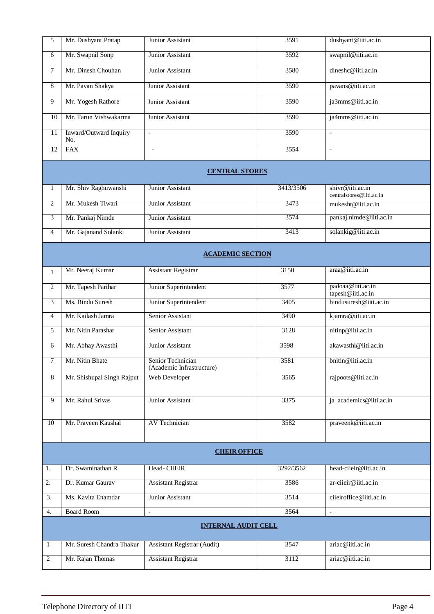| 5              | Mr. Dushyant Pratap           | Junior Assistant                               | 3591      | dushyant@iiti.ac.in                          |
|----------------|-------------------------------|------------------------------------------------|-----------|----------------------------------------------|
| 6              | Mr. Swapnil Sonp              | Junior Assistant                               | 3592      | swapnil@iiti.ac.in                           |
| 7              | Mr. Dinesh Chouhan            | Junior Assistant                               | 3580      | dineshc@iiti.ac.in                           |
| 8              | Mr. Pavan Shakya              | Junior Assistant                               | 3590      | pavans@iiti.ac.in                            |
| 9              | Mr. Yogesh Rathore            | Junior Assistant                               | 3590      | ja3mms@iiti.ac.in                            |
| 10             | Mr. Tarun Vishwakarma         | Junior Assistant                               | 3590      | ja4mms@iiti.ac.in                            |
| 11             | Inward/Outward Inquiry<br>No. | $\mathbb{L}$                                   | 3590      | $\mathbb{L}$                                 |
| 12             | <b>FAX</b>                    | $\overline{\phantom{0}}$                       | 3554      | $\overline{\phantom{a}}$                     |
|                |                               | <b>CENTRAL STORES</b>                          |           |                                              |
|                |                               |                                                |           |                                              |
| 1              | Mr. Shiv Raghuwanshi          | <b>Junior Assistant</b>                        | 3413/3506 | shivr@iiti.ac.in<br>centralstores@iiti.ac.in |
| 2              | Mr. Mukesh Tiwari             | Junior Assistant                               | 3473      | mukesht@iiti.ac.in                           |
| 3              | Mr. Pankaj Nimde              | Junior Assistant                               | 3574      | pankaj.nimde@iiti.ac.in                      |
| 4              | Mr. Gajanand Solanki          | <b>Junior Assistant</b>                        | 3413      | solankig@iiti.ac.in                          |
|                |                               | <b>ACADEMIC SECTION</b>                        |           |                                              |
| $\mathbf{1}$   | Mr. Neeraj Kumar              | <b>Assistant Registrar</b>                     | 3150      | araa@iiti.ac.in                              |
| $\mathfrak{2}$ | Mr. Tapesh Parihar            | Junior Superintendent                          | 3577      | padoaa@iiti.ac.in<br>tapesh@iiti.ac.in       |
| 3              | Ms. Bindu Suresh              | Junior Superintendent                          | 3405      | bindusuresh@iiti.ac.in                       |
| $\overline{4}$ | Mr. Kailash Jamra             | Senior Assistant                               | 3490      | kjamra@iiti.ac.in                            |
| 5              | Mr. Nitin Parashar            | Senior Assistant                               | 3128      | nitinp@iiti.ac.in                            |
| 6              | Mr. Abhay Awasthi             | <b>Junior Assistant</b>                        | 3598      | akawasthi@iiti.ac.in                         |
| $\overline{7}$ | Mr. Nitin Bhate               | Senior Technician<br>(Academic Infrastructure) | 3581      | bnitin@iiti.ac.in                            |
| 8              | Mr. Shishupal Singh Rajput    | Web Developer                                  | 3565      | rajpoots@iiti.ac.in                          |
| 9              | Mr. Rahul Srivas              | Junior Assistant                               | 3375      | ja_academics@iiti.ac.in                      |
|                |                               |                                                |           |                                              |
| 10             | Mr. Praveen Kaushal           | AV Technician                                  | 3582      | praveenk@iiti.ac.in                          |
|                |                               |                                                |           |                                              |
|                |                               | <b>CIIEIR OFFICE</b>                           |           |                                              |
| 1.             | Dr. Swaminathan R.            | Head-CIIEIR                                    | 3292/3562 | head-ciieir@iiti.ac.in                       |
| 2.             | Dr. Kumar Gaurav              | <b>Assistant Registrar</b>                     | 3586      | ar-ciieir@iiti.ac.in                         |
| 3.             | Ms. Kavita Enamdar            | Junior Assistant                               | 3514      | ciieiroffice@iiti.ac.in                      |
| 4.             | <b>Board Room</b>             | $\blacksquare$                                 | 3564      | $\overline{\phantom{a}}$                     |
|                |                               | <b>INTERNAL AUDIT CELL</b>                     |           |                                              |
| -1             | Mr. Suresh Chandra Thakur     | <b>Assistant Registrar (Audit)</b>             | 3547      | ariac@iiti.ac.in                             |
| 2              | Mr. Rajan Thomas              | <b>Assistant Registrar</b>                     | 3112      | ariac@iiti.ac.in                             |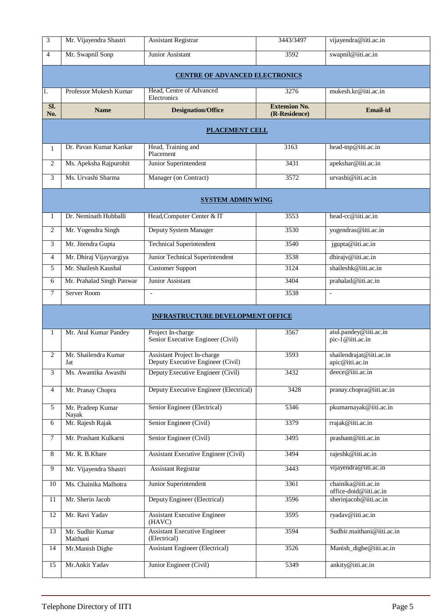| 3               | Mr. Vijayendra Shastri       | <b>Assistant Registrar</b>                                       | 3443/3497                             | vijayendra@iiti.ac.in                          |
|-----------------|------------------------------|------------------------------------------------------------------|---------------------------------------|------------------------------------------------|
| $\overline{4}$  | Mr. Swapnil Sonp             | Junior Assistant                                                 | 3592                                  | swapnil@iiti.ac.in                             |
|                 |                              | <b>CENTRE OF ADVANCED ELECTRONICS</b>                            |                                       |                                                |
| 1.              | Professor Mukesh Kumar       | Head, Centre of Advanced<br>Electronics                          | 3276                                  | mukesh.kr@iiti.ac.in                           |
| SI.<br>No.      | <b>Name</b>                  | <b>Designation/Office</b>                                        | <b>Extension No.</b><br>(R-Residence) | <b>Email-id</b>                                |
|                 |                              | <b>PLACEMENT CELL</b>                                            |                                       |                                                |
| $\mathbf{1}$    | Dr. Pavan Kumar Kankar       | Head, Training and                                               | 3163                                  | head-tnp@iiti.ac.in                            |
| 2               | Ms. Apeksha Rajpurohit       | Placement<br>Junior Superintendent                               | 3431                                  | apekshar@iiti.ac.in                            |
| 3               | Ms. Urvashi Sharma           | Manager (on Contract)                                            | 3572                                  | urvashi@iiti.ac.in                             |
|                 |                              | <b>SYSTEM ADMIN WING</b>                                         |                                       |                                                |
|                 |                              |                                                                  |                                       |                                                |
| 1               | Dr. Neminath Hubballi        | Head, Computer Center & IT                                       | 3553                                  | head-cc@iiti.ac.in                             |
| $\overline{2}$  | Mr. Yogendra Singh           | Deputy System Manager                                            | 3530                                  | yogendras@iiti.ac.in                           |
| 3               | Mr. Jitendra Gupta           | <b>Technical Superintendent</b>                                  | 3540                                  | jgupta@iiti.ac.in                              |
| 4               | Mr. Dhiraj Vijayvargiya      | Junior Technical Superintendent                                  | 3538                                  | dhirajv@iiti.ac.in                             |
| 5               | Mr. Shailesh Kaushal         | <b>Customer Support</b>                                          | 3124                                  | shaileshk@iiti.ac.in                           |
| 6               | Mr. Prahalad Singh Panwar    | Junior Assistant                                                 | 3404                                  | prahalad@iiti.ac.in                            |
| 7               | Server Room                  | $\blacksquare$                                                   | 3538                                  | $\blacksquare$                                 |
|                 |                              | <b>INFRASTRUCTURE DEVELOPMENT OFFICE</b>                         |                                       |                                                |
|                 |                              |                                                                  |                                       |                                                |
| $\mathbf{1}$    | Mr. Atul Kumar Pandey        | Project In-charge<br>Senior Executive Engineer (Civil)           | 3567                                  | atul.pandey@iiti.ac.in<br>pic-1@iiti.ac.in     |
| 2               | Mr. Shailendra Kumar<br>Jat  | Assistant Project In-charge<br>Deputy Executive Engineer (Civil) | 3593                                  | shailendrajat@iiti.ac.in<br>$apic@$ iiti.ac.in |
| 3               | Ms. Awantika Awasthi         | Deputy Executive Engineer (Civil)                                | 3432                                  | deece@iiti.ac.in                               |
| $\overline{4}$  | Mr. Pranay Chopra            | Deputy Executive Engineer (Electrical)                           | 3428                                  | pranay.chopra@iiti.ac.in                       |
| 5               | Mr. Pradeep Kumar            | Senior Engineer (Electrical)                                     | 5346                                  | pkumarnayak@iiti.ac.in                         |
| 6               | Nayak<br>Mr. Rajesh Rajak    | Senior Engineer (Civil)                                          | 3379                                  | rrajak@iiti.ac.in                              |
| $\tau$          | Mr. Prashant Kulkarni        | Senior Engineer (Civil)                                          | 3495                                  | prashant@iiti.ac.in                            |
|                 |                              |                                                                  |                                       |                                                |
| $\,8\,$         | Mr. R. B. Khare              | <b>Assistant Executive Engineer (Civil)</b>                      | 3494                                  | rajeshk@iiti.ac.in                             |
| $\overline{9}$  | Mr. Vijayendra Shastri       | <b>Assistant Registrar</b>                                       | 3443                                  | vijayendra@iiti.ac.in                          |
| 10              | Ms. Chainika Malhotra        | Junior Superintendent                                            | 3361                                  | chainika@iiti.ac.in<br>office-doid@iiti.ac.in  |
| $\overline{11}$ | Mr. Sherin Jacob             | Deputy Engineer (Electrical)                                     | 3596                                  | sherinjacob@iiti.ac.in                         |
| 12              | Mr. Ravi Yadav               | <b>Assistant Executive Engineer</b><br>(HAVC)                    | 3595                                  | ryadav@iiti.ac.in                              |
| 13              | Mr. Sudhir Kumar<br>Maithani | <b>Assistant Executive Engineer</b><br>(Electrical)              | 3594                                  | Sudhir.maithani@iiti.ac.in                     |
| 14              | Mr.Manish Dighe              | <b>Assistant Engineer (Electrical)</b>                           | 3526                                  | Manish_dighe@iiti.ac.in                        |
| 15              | Mr.Ankit Yadav               | Junior Engineer (Civil)                                          | 5349                                  | ankity@iiti.ac.in                              |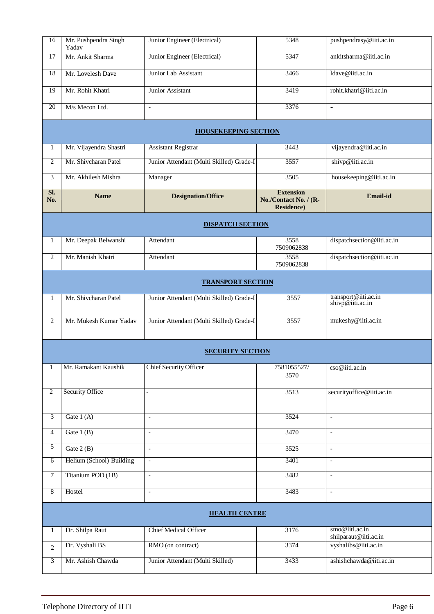| 16             | Mr. Pushpendra Singh<br>Yadav | Junior Engineer (Electrical)             | 5348                                                            | pushpendrasy@iiti.ac.in                  |
|----------------|-------------------------------|------------------------------------------|-----------------------------------------------------------------|------------------------------------------|
| 17             | Mr. Ankit Sharma              | Junior Engineer (Electrical)             | 5347                                                            | ankitsharma@iiti.ac.in                   |
| 18             | Mr. Lovelesh Dave             | Junior Lab Assistant                     | 3466                                                            | ldave@iiti.ac.in                         |
| 19             | Mr. Rohit Khatri              | Junior Assistant                         | 3419                                                            | rohit.khatri@iiti.ac.in                  |
| 20             | M/s Mecon Ltd.                | $\overline{\phantom{a}}$                 | 3376                                                            | $\blacksquare$                           |
|                |                               | <b>HOUSEKEEPING SECTION</b>              |                                                                 |                                          |
| 1              | Mr. Vijayendra Shastri        | <b>Assistant Registrar</b>               | 3443                                                            | vijayendra@iiti.ac.in                    |
| $\overline{2}$ | Mr. Shivcharan Patel          | Junior Attendant (Multi Skilled) Grade-I | 3557                                                            | shivp@iiti.ac.in                         |
| 3              | Mr. Akhilesh Mishra           | Manager                                  | 3505                                                            | housekeeping@iiti.ac.in                  |
| SI.<br>No.     | <b>Name</b>                   | <b>Designation/Office</b>                | <b>Extension</b><br>No./Contact No. / (R-<br><b>Residence</b> ) | Email-id                                 |
|                |                               | <b>DISPATCH SECTION</b>                  |                                                                 |                                          |
| 1              | Mr. Deepak Belwanshi          | Attendant                                | 3558<br>7509062838                                              | dispatchsection@iiti.ac.in               |
| 2              | Mr. Manish Khatri             | Attendant                                | 3558<br>7509062838                                              | dispatchsection@iiti.ac.in               |
|                |                               | <b>TRANSPORT SECTION</b>                 |                                                                 |                                          |
| 1              | Mr. Shivcharan Patel          | Junior Attendant (Multi Skilled) Grade-I | 3557                                                            | transport@iiti.ac.in<br>shivp@iiti.ac.in |
| $\overline{2}$ | Mr. Mukesh Kumar Yadav        | Junior Attendant (Multi Skilled) Grade-I | 3557                                                            | mukeshy@iiti.ac.in                       |
|                |                               | <b>SECURITY SECTION</b>                  |                                                                 |                                          |
| 1              | Mr. Ramakant Kaushik          | <b>Chief Security Officer</b>            | 7581055527/                                                     | cso@iiti.ac.in                           |
|                |                               |                                          | 3570                                                            |                                          |
| $\overline{c}$ | <b>Security Office</b>        |                                          | 3513                                                            | securityoffice@iiti.ac.in                |
| 3              | Gate $1(A)$                   | $\overline{\phantom{a}}$                 | 3524                                                            | $\overline{\phantom{a}}$                 |
| $\overline{4}$ | Gate $1(B)$                   | $\overline{\phantom{a}}$                 | 3470                                                            | $\overline{\phantom{a}}$                 |
| $\mathfrak{H}$ | Gate $2(B)$                   | $\overline{a}$                           | 3525                                                            | $\overline{\phantom{a}}$                 |
| 6              | Helium (School) Building      | $\blacksquare$                           | 3401                                                            | $\overline{\phantom{a}}$                 |
| 7              | Titanium POD (1B)             | $\overline{\phantom{a}}$                 | 3482                                                            | $\overline{\phantom{a}}$                 |
| 8              | Hostel                        | $\overline{\phantom{a}}$                 | 3483                                                            | $\mathbf{r}$                             |
|                |                               | <b>HEALTH CENTRE</b>                     |                                                                 |                                          |
| $\mathbf{1}$   | Dr. Shilpa Raut               | Chief Medical Officer                    | 3176                                                            | smo@iiti.ac.in<br>shilparaut@iiti.ac.in  |
| $\mathfrak{2}$ | Dr. Vyshali BS                | RMO (on contract)                        | 3374                                                            | vyshalibs@iiti.ac.in                     |
| 3              | Mr. Ashish Chawda             | Junior Attendant (Multi Skilled)         | 3433                                                            | ashishchawda@iiti.ac.in                  |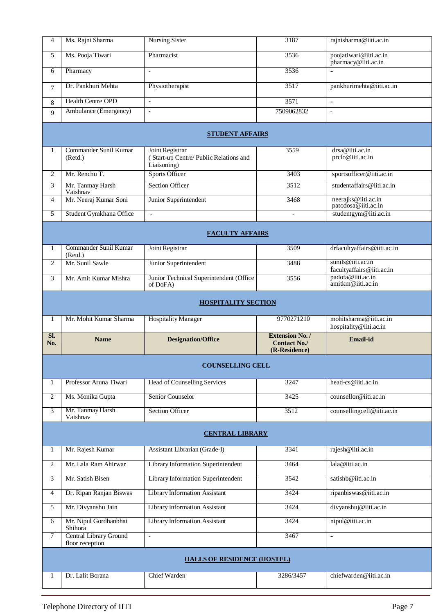| 4              |                                           |                                                                         |                                                                |                                                  |
|----------------|-------------------------------------------|-------------------------------------------------------------------------|----------------------------------------------------------------|--------------------------------------------------|
|                | Ms. Rajni Sharma                          | <b>Nursing Sister</b>                                                   | 3187                                                           | rajnisharma@iiti.ac.in                           |
| 5              | Ms. Pooja Tiwari                          | Pharmacist                                                              | 3536                                                           | poojatiwari@iiti.ac.in<br>pharmacy@iiti.ac.in    |
| 6              | Pharmacy                                  | $\overline{\phantom{a}}$                                                | 3536                                                           | ä,                                               |
| 7              | Dr. Pankhuri Mehta                        | Physiotherapist                                                         | 3517                                                           | pankhurimehta@iiti.ac.in                         |
| 8              | <b>Health Centre OPD</b>                  | $\overline{\phantom{a}}$                                                | 3571                                                           | $\overline{\phantom{a}}$                         |
| 9              | Ambulance (Emergency)                     | $\overline{\phantom{a}}$                                                | 7509062832                                                     | $\mathcal{L}$                                    |
|                |                                           | <b>STUDENT AFFAIRS</b>                                                  |                                                                |                                                  |
| 1              | Commander Sunil Kumar<br>(Retd.)          | Joint Registrar<br>(Start-up Centre/Public Relations and<br>Liaisoning) | 3559                                                           | drsa@iiti.ac.in<br>prclo@iiti.ac.in              |
| 2              | Mr. Renchu T.                             | <b>Sports Officer</b>                                                   | 3403                                                           | sportsofficer@iiti.ac.in                         |
| 3              | Mr. Tanmay Harsh<br>Vaishnav              | <b>Section Officer</b>                                                  | 3512                                                           | studentaffairs@iiti.ac.in                        |
| $\overline{4}$ | Mr. Neeraj Kumar Soni                     | Junior Superintendent                                                   | 3468                                                           | neerajks@iiti.ac.in<br>patodosa@iiti.ac.in       |
| 5              | Student Gymkhana Office                   | $\overline{\phantom{a}}$                                                | $\overline{\phantom{a}}$                                       | studentgym@iiti.ac.in                            |
|                |                                           | <b>FACULTY AFFAIRS</b>                                                  |                                                                |                                                  |
| 1              | Commander Sunil Kumar<br>(Retd.)          | Joint Registrar                                                         | 3509                                                           | drfacultyaffairs@iiti.ac.in                      |
| $\overline{2}$ | Mr. Sunil Sawle                           | Junior Superintendent                                                   | 3488                                                           | sunils@iiti.ac.in<br>facultyaffairs@iiti.ac.in   |
| 3              | Mr. Amit Kumar Mishra                     | Junior Technical Superintendent (Office<br>of DoFA)                     | 3556                                                           | padota@nti.ac.in<br>amitkm@iiti.ac.in            |
|                |                                           |                                                                         |                                                                |                                                  |
|                |                                           | <b>HOSPITALITY SECTION</b>                                              |                                                                |                                                  |
|                |                                           |                                                                         |                                                                |                                                  |
| $\mathbf{1}$   | Mr. Mohit Kumar Sharma                    | <b>Hospitality Manager</b>                                              | 9770271210                                                     | mohitsharma@iiti.ac.in<br>hospitality@iiti.ac.in |
| SI.<br>No.     | <b>Name</b>                               | <b>Designation/Office</b>                                               | <b>Extension No. /</b><br><b>Contact No./</b><br>(R-Residence) | <b>Email-id</b>                                  |
|                |                                           | <b>COUNSELLING CELL</b>                                                 |                                                                |                                                  |
| 1              | Professor Aruna Tiwari                    | <b>Head of Counselling Services</b>                                     | 3247                                                           | head-cs@iiti.ac.in                               |
| 2              | Ms. Monika Gupta                          | Senior Counselor                                                        | 3425                                                           | counsellor@iiti.ac.in                            |
| 3              | Mr. Tanmay Harsh                          | <b>Section Officer</b>                                                  | 3512                                                           | counsellingcell@iiti.ac.in                       |
|                | Vaishnav                                  | <b>CENTRAL LIBRARY</b>                                                  |                                                                |                                                  |
| 1              | Mr. Rajesh Kumar                          | Assistant Librarian (Grade-I)                                           | 3341                                                           | rajesh@iiti.ac.in                                |
| 2              | Mr. Lala Ram Ahirwar                      | Library Information Superintendent                                      | 3464                                                           | lala@iiti.ac.in                                  |
| 3              | Mr. Satish Bisen                          | Library Information Superintendent                                      | 3542                                                           | satishb@iiti.ac.in                               |
| 4              | Dr. Ripan Ranjan Biswas                   | Library Information Assistant                                           | 3424                                                           | ripanbiswas@iiti.ac.in                           |
| 5              | Mr. Divyanshu Jain                        | Library Information Assistant                                           | 3424                                                           | divyanshuj@iiti.ac.in                            |
| 6              | Mr. Nipul Gordhanbhai<br>Shihora          | <b>Library Information Assistant</b>                                    | 3424                                                           | nipul@iiti.ac.in                                 |
| $\overline{7}$ | Central Library Ground<br>floor reception | $\overline{\phantom{a}}$                                                | 3467                                                           | $\blacksquare$                                   |
|                |                                           | <b>HALLS OF RESIDENCE (HOSTEL)</b>                                      |                                                                |                                                  |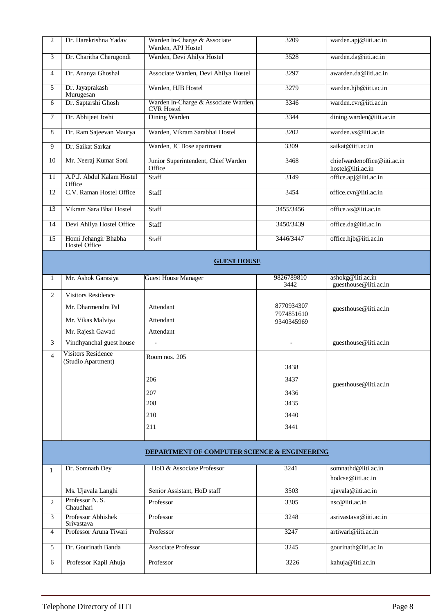| $\mathbf{2}$   | Dr. Harekrishna Yadav                 | Warden In-Charge & Associate<br>Warden, APJ Hostel        | 3209                     | warden.apj@iiti.ac.in                             |
|----------------|---------------------------------------|-----------------------------------------------------------|--------------------------|---------------------------------------------------|
| 3              | Dr. Charitha Cherugondi               | Warden, Devi Ahilya Hostel                                | 3528                     | warden.da@iiti.ac.in                              |
| $\overline{4}$ | Dr. Ananya Ghoshal                    | Associate Warden, Devi Ahilya Hostel                      | 3297                     | awarden.da@iiti.ac.in                             |
| 5              | Dr. Jayaprakash<br>Murugesan          | Warden, HJB Hostel                                        | 3279                     | warden.hjb@iiti.ac.in                             |
| 6              | Dr. Saptarshi Ghosh                   | Warden In-Charge & Associate Warden,<br><b>CVR</b> Hostel | 3346                     | warden.cvr@iiti.ac.in                             |
| $\overline{7}$ | Dr. Abhijeet Joshi                    | Dining Warden                                             | 3344                     | dining.warden@iiti.ac.in                          |
| 8              | Dr. Ram Sajeevan Maurya               | Warden, Vikram Sarabhai Hostel                            | 3202                     | warden.vs@iiti.ac.in                              |
| 9              | Dr. Saikat Sarkar                     | Warden, JC Bose apartment                                 | 3309                     | saikat@iiti.ac.in                                 |
| 10             | Mr. Neeraj Kumar Soni                 | Junior Superintendent, Chief Warden<br>Office             | 3468                     | chiefwardenoffice@iiti.ac.in<br>hostel@iiti.ac.in |
| 11             | A.P.J. Abdul Kalam Hostel<br>Office   | Staff                                                     | 3149                     | office.apj@iiti.ac.in                             |
| 12             | C.V. Raman Hostel Office              | <b>Staff</b>                                              | 3454                     | office.cvr@iiti.ac.in                             |
| 13             | Vikram Sara Bhai Hostel               | <b>Staff</b>                                              | 3455/3456                | office.vs@iiti.ac.in                              |
| 14             | Devi Ahilya Hostel Office             | Staff                                                     | 3450/3439                | office.da@iiti.ac.in                              |
| 15             | Homi Jehangir Bhabha<br>Hostel Office | Staff                                                     | 3446/3447                | office.hjb@iiti.ac.in                             |
|                |                                       | <b>GUEST HOUSE</b>                                        |                          |                                                   |
| 1              | Mr. Ashok Garasiya                    | <b>Guest House Manager</b>                                | 9826789810<br>3442       | ashokg@iiti.ac.in<br>guesthouse@iiti.ac.in        |
| $\overline{2}$ | <b>Visitors Residence</b>             |                                                           |                          |                                                   |
|                | Mr. Dharmendra Pal                    | Attendant                                                 | 8770934307               | guesthouse@iiti.ac.in                             |
|                | Mr. Vikas Malviya                     | Attendant                                                 | 7974851610<br>9340345969 |                                                   |
|                | Mr. Rajesh Gawad                      | Attendant                                                 |                          |                                                   |
| 3              | Vindhyanchal guest house              |                                                           | $\overline{a}$           | guesthouse@iiti.ac.in                             |
| $\overline{4}$ | <b>Visitors Residence</b>             | Room nos. 205                                             |                          |                                                   |
|                | (Studio Apartment)                    |                                                           | 3438                     |                                                   |
|                |                                       | 206                                                       | 3437                     | guesthouse@iiti.ac.in                             |
|                |                                       | 207                                                       | 3436                     |                                                   |
|                |                                       | 208                                                       | 3435                     |                                                   |
|                |                                       | 210                                                       | 3440                     |                                                   |
|                |                                       | 211                                                       | 3441                     |                                                   |
|                |                                       | DEPARTMENT OF COMPUTER SCIENCE & ENGINEERING              |                          |                                                   |
| $\mathbf{1}$   | Dr. Somnath Dey                       | HoD & Associate Professor                                 | 3241                     | somnathd@iiti.ac.in                               |
|                |                                       |                                                           |                          | hodcse@iiti.ac.in                                 |
|                | Ms. Ujavala Langhi                    | Senior Assistant, HoD staff                               | 3503                     | ujavala@iiti.ac.in                                |
| 2              | Professor N.S.<br>Chaudhari           | Professor                                                 | 3305                     | $nsc@$ iiti.ac.in                                 |
| 3              | Professor Abhishek<br>Srivastava      | Professor                                                 | 3248                     | asrivastava@iiti.ac.in                            |
| 4              | Professor Aruna Tiwari                | Professor                                                 | 3247                     | artiwari@iiti.ac.in                               |
| 5              | Dr. Gourinath Banda                   | Associate Professor                                       | 3245                     | gourinath@iiti.ac.in                              |
| 6              | Professor Kapil Ahuja                 | Professor                                                 | 3226                     | kahuja@iiti.ac.in                                 |
|                |                                       |                                                           |                          |                                                   |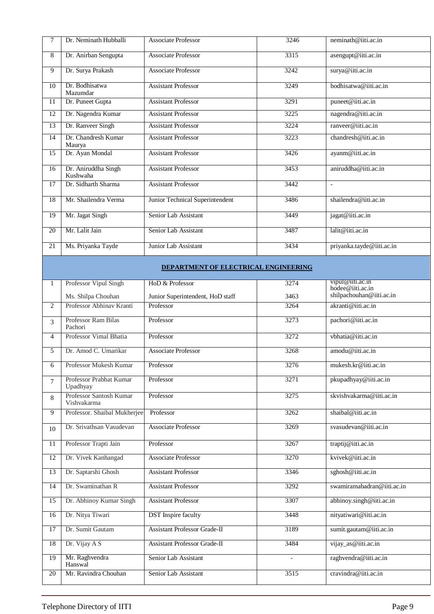| 7  | Dr. Neminath Hubballi                                                                           | <b>Associate Professor</b>                               | 3246 | neminath@iiti.ac.in                               |
|----|-------------------------------------------------------------------------------------------------|----------------------------------------------------------|------|---------------------------------------------------|
| 8  | Dr. Anirban Sengupta                                                                            | <b>Associate Professor</b>                               | 3315 | asengupt@iiti.ac.in                               |
| 9  | Dr. Surya Prakash                                                                               | <b>Associate Professor</b>                               | 3242 | surya@iiti.ac.in                                  |
| 10 | Dr. Bodhisatwa<br>Mazumdar                                                                      | <b>Assistant Professor</b>                               | 3249 | bodhisatwa@iiti.ac.in                             |
| 11 | Dr. Puneet Gupta                                                                                | <b>Assistant Professor</b>                               | 3291 | puneet@iiti.ac.in                                 |
| 12 | Dr. Nagendra Kumar                                                                              | <b>Assistant Professor</b>                               | 3225 | nagendra@iiti.ac.in                               |
| 13 | Dr. Ranveer Singh                                                                               | <b>Assistant Professor</b>                               | 3224 | ranveer@iiti.ac.in                                |
| 14 | Dr. Chandresh Kumar<br>Maurya                                                                   | <b>Assistant Professor</b>                               | 3223 | chandresh@iiti.ac.in                              |
| 15 | Dr. Ayan Mondal                                                                                 | <b>Assistant Professor</b>                               | 3426 | ayanm@iiti.ac.in                                  |
| 16 | Dr. Aniruddha Singh<br>Kushwaha                                                                 | <b>Assistant Professor</b>                               | 3453 | aniruddha@iiti.ac.in                              |
| 17 | Dr. Sidharth Sharma                                                                             | <b>Assistant Professor</b>                               | 3442 | $\blacksquare$                                    |
| 18 | Mr. Shailendra Verma                                                                            | Junior Technical Superintendent                          | 3486 | shailendra@iiti.ac.in                             |
| 19 | Mr. Jagat Singh                                                                                 | Senior Lab Assistant                                     | 3449 | jagat@iiti.ac.in                                  |
| 20 | Mr. Lalit Jain                                                                                  | Senior Lab Assistant                                     | 3487 | lalit@iiti.ac.in                                  |
| 21 | Ms. Priyanka Tayde                                                                              | Junior Lab Assistant                                     | 3434 | priyanka.tayde@iiti.ac.in                         |
|    |                                                                                                 | <b>DEPARTMENT OF ELECTRICAL ENGINEERING</b>              |      |                                                   |
|    | $\overline{11}$ $\overline{11}$ $\overline{11}$ $\overline{11}$ $\overline{11}$<br>$\mathbf{r}$ | $\mathbf{H} \mathbf{D} \mathbf{0} \mathbf{D} \mathbf{C}$ | 2271 | $\frac{1}{2}$ vinu $\frac{1}{2}$ (a) if is a c in |

| 1               | Professor Vipul Singh                  | HoD & Professor                     | 3274           | vipul@iiti.ac.in<br>hodee@iiti.ac.in |
|-----------------|----------------------------------------|-------------------------------------|----------------|--------------------------------------|
|                 | Ms. Shilpa Chouhan                     | Junior Superintendent, HoD staff    | 3463           | shilpachouhan@iiti.ac.in             |
| 2               | Professor Abhinav Kranti               | Professor                           | 3264           | akranti@iii.ac.in                    |
| 3               | Professor Ram Bilas<br>Pachori         | Professor                           | 3273           | pachori@iiti.ac.in                   |
| $\overline{4}$  | Professor Vimal Bhatia                 | Professor                           | 3272           | vbhatia@iiti.ac.in                   |
| 5               | Dr. Amod C. Umarikar                   | <b>Associate Professor</b>          | 3268           | amodu@iiti.ac.in                     |
| 6               | Professor Mukesh Kumar                 | Professor                           | 3276           | mukesh.kr@iiti.ac.in                 |
| $\overline{7}$  | Professor Prabhat Kumar<br>Upadhyay    | Professor                           | 3271           | pkupadhyay@iiti.ac.in                |
| 8               | Professor Santosh Kumar<br>Vishvakarma | Professor                           | 3275           | skvishvakarma@iiti.ac.in             |
| 9               | Professor. Shaibal Mukherjee           | Professor                           | 3262           | shaibal@iiti.ac.in                   |
| 10              | Dr. Srivathsan Vasudevan               | <b>Associate Professor</b>          | 3269           | svasudevan@iiti.ac.in                |
| 11              | Professor Trapti Jain                  | Professor                           | 3267           | traptij@iiti.ac.in                   |
| 12              | Dr. Vivek Kanhangad                    | <b>Associate Professor</b>          | 3270           | kvivek@iiti.ac.in                    |
| 13              | Dr. Saptarshi Ghosh                    | <b>Assistant Professor</b>          | 3346           | sghosh@iiti.ac.in                    |
| 14              | Dr. Swaminathan R                      | <b>Assistant Professor</b>          | 3292           | swamiramabadran@iiti.ac.in           |
| 15              | Dr. Abhinoy Kumar Singh                | <b>Assistant Professor</b>          | 3307           | abhinoy.singh@iiti.ac.in             |
| 16              | Dr. Nitya Tiwari                       | <b>DST</b> Inspire faculty          | 3448           | nityatiwari@iiti.ac.in               |
| $\overline{17}$ | Dr. Sumit Gautam                       | <b>Assistant Professor Grade-II</b> | 3189           | sumit.gautam@iiti.ac.in              |
| 18              | Dr. Vijay A S                          | <b>Assistant Professor Grade-II</b> | 3484           | vijay_as@iiti.ac.in                  |
| $\overline{19}$ | Mr. Raghvendra<br>Hanswal              | Senior Lab Assistant                | $\overline{a}$ | raghvendra@iiti.ac.in                |
| 20              | Mr. Ravindra Chouhan                   | Senior Lab Assistant                | 3515           | cravindra@iiti.ac.in                 |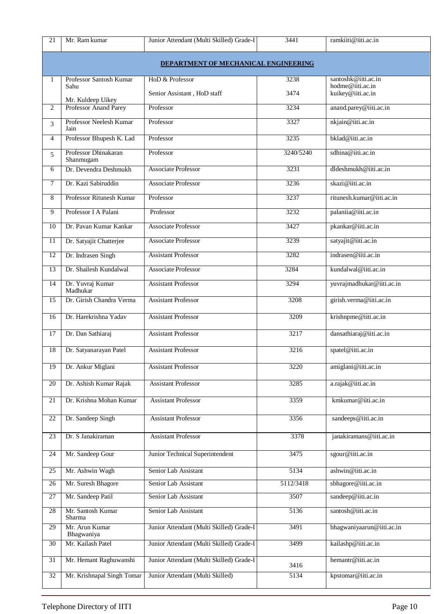| 21              | Mr. Ram kumar                              | Junior Attendant (Multi Skilled) Grade-I | 3441      | ramkiiti@iiti.ac.in                   |  |  |  |
|-----------------|--------------------------------------------|------------------------------------------|-----------|---------------------------------------|--|--|--|
|                 | DEPARTMENT OF MECHANICAL ENGINEERING       |                                          |           |                                       |  |  |  |
| 1               | Professor Santosh Kumar                    | HoD & Professor                          | 3238      | santoshk@iiti.ac.in                   |  |  |  |
|                 | Sahu                                       | Senior Assistant, HoD staff              | 3474      | hodme@iiti.ac.in<br>kuikey@iiti.ac.in |  |  |  |
| 2               | Mr. Kuldeep Uikey<br>Professor Anand Parey | Professor                                | 3234      | anand.parey@iiti.ac.in                |  |  |  |
| 3               | Professor Neelesh Kumar                    | Professor                                | 3327      | nkjain@iiti.ac.in                     |  |  |  |
| 4               | Jain<br>Professor Bhupesh K. Lad           | Professor                                | 3235      | bklad@iiti.ac.in                      |  |  |  |
|                 | Professor Dhinakaran                       | Professor                                | 3240/5240 | sdhina@iiti.ac.in                     |  |  |  |
| 5               | Shanmugam                                  |                                          |           |                                       |  |  |  |
| 6               | Dr. Devendra Deshmukh                      | <b>Associate Professor</b>               | 3231      | dldeshmukh@iiti.ac.in                 |  |  |  |
| $\tau$          | Dr. Kazi Sabiruddin                        | <b>Associate Professor</b>               | 3236      | skazi@iiti.ac.in                      |  |  |  |
| 8               | Professor Ritunesh Kumar                   | Professor                                | 3237      | ritunesh.kumar@iiti.ac.in             |  |  |  |
| 9               | Professor I A Palani                       | Professor                                | 3232      | palaniia@iiti.ac.in                   |  |  |  |
| 10              | Dr. Pavan Kumar Kankar                     | <b>Associate Professor</b>               | 3427      | pkankar@iiti.ac.in                    |  |  |  |
| 11              | Dr. Satyajit Chatterjee                    | <b>Associate Professor</b>               | 3239      | satyajit@iiti.ac.in                   |  |  |  |
| 12              | Dr. Indrasen Singh                         | <b>Assistant Professor</b>               | 3282      | indrasen@iiti.ac.in                   |  |  |  |
| 13              | Dr. Shailesh Kundalwal                     | <b>Associate Professor</b>               | 3284      | kundalwal@iiti.ac.in                  |  |  |  |
| 14              | Dr. Yuvraj Kumar<br>Madhukar               | <b>Assistant Professor</b>               | 3294      | yuvrajmadhukar@iiti.ac.in             |  |  |  |
| 15              | Dr. Girish Chandra Verma                   | <b>Assistant Professor</b>               | 3208      | girish.verma@iiti.ac.in               |  |  |  |
| 16              | Dr. Harekrishna Yadav                      | <b>Assistant Professor</b>               | 3209      | krishnpme@iiti.ac.in                  |  |  |  |
| 17              | Dr. Dan Sathiaraj                          | <b>Assistant Professor</b>               | 3217      | dansathiaraj@iiti.ac.in               |  |  |  |
| 18              | Dr. Satyanarayan Patel                     | <b>Assistant Professor</b>               | 3216      | spatel@iiti.ac.in                     |  |  |  |
| 19              | Dr. Ankur Miglani                          | <b>Assistant Professor</b>               | 3220      | amiglani@iiti.ac.in                   |  |  |  |
| 20              | Dr. Ashish Kumar Rajak                     | <b>Assistant Professor</b>               | 3285      | a.rajak@iiti.ac.in                    |  |  |  |
| 21              | Dr. Krishna Mohan Kumar                    | <b>Assistant Professor</b>               | 3359      | kmkumar@iiti.ac.in                    |  |  |  |
| 22              | Dr. Sandeep Singh                          | <b>Assistant Professor</b>               | 3356      | sandeeps@iiti.ac.in                   |  |  |  |
| 23              | Dr. S Janakiraman                          | <b>Assistant Professor</b>               | 3378      | janakiramans@iiti.ac.in               |  |  |  |
| 24              | Mr. Sandeep Gour                           | Junior Technical Superintendent          | 3475      | sgour@iiti.ac.in                      |  |  |  |
| 25              | Mr. Ashwin Wagh                            | Senior Lab Assistant                     | 5134      | ashwin@iiti.ac.in                     |  |  |  |
| 26              | Mr. Suresh Bhagore                         | Senior Lab Assistant                     | 5112/3418 | sbhagore@iiti.ac.in                   |  |  |  |
| 27              | Mr. Sandeep Patil                          | Senior Lab Assistant                     | 3507      | sandeep@iiti.ac.in                    |  |  |  |
| 28              | Mr. Santosh Kumar<br>Sharma                | Senior Lab Assistant                     | 5136      | santosh@iiti.ac.in                    |  |  |  |
| 29              | Mr. Arun Kumar<br>Bhagwaniya               | Junior Attendant (Multi Skilled) Grade-I | 3491      | bhagwaniyaarun@iiti.ac.in             |  |  |  |
| 30              | Mr. Kailash Patel                          | Junior Attendant (Multi Skilled) Grade-I | 3499      | kailashp@iiti.ac.in                   |  |  |  |
| 31              | Mr. Hemant Raghuwanshi                     | Junior Attendant (Multi Skilled) Grade-I | 3416      | hemantr@iiti.ac.in                    |  |  |  |
| $\overline{32}$ | Mr. Krishnapal Singh Tomar                 | Junior Attendant (Multi Skilled)         | 5134      | kpstomar@iiti.ac.in                   |  |  |  |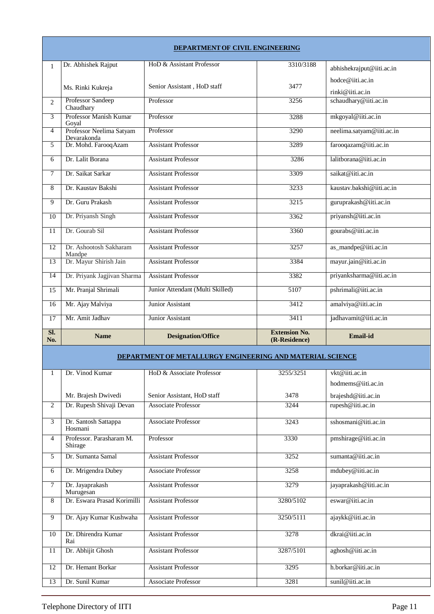| DEPARTMENT OF CIVIL ENGINEERING |                                         |                                                           |                                       |                           |
|---------------------------------|-----------------------------------------|-----------------------------------------------------------|---------------------------------------|---------------------------|
| $\mathbf{1}$                    | Dr. Abhishek Rajput                     | HoD & Assistant Professor                                 | 3310/3188                             | abhishekrajput@iiti.ac.in |
|                                 |                                         |                                                           |                                       | hodce@iiti.ac.in          |
|                                 | Ms. Rinki Kukreja                       | Senior Assistant, HoD staff                               | 3477                                  | rinki@iiti.ac.in          |
| 2                               | Professor Sandeep<br>Chaudhary          | Professor                                                 | 3256                                  | schaudhary@iiti.ac.in     |
| 3                               | Professor Manish Kumar<br>Goyal         | Professor                                                 | 3288                                  | mkgoyal@iiti.ac.in        |
| 4                               | Professor Neelima Satyam<br>Devarakonda | Professor                                                 | 3290                                  | neelima.satyam@iiti.ac.in |
| 5                               | Dr. Mohd. Farooq Azam                   | <b>Assistant Professor</b>                                | 3289                                  | farooqazam@iiti.ac.in     |
| 6                               | Dr. Lalit Borana                        | <b>Assistant Professor</b>                                | 3286                                  | lalitborana@iiti.ac.in    |
| $\tau$                          | Dr. Saikat Sarkar                       | <b>Assistant Professor</b>                                | 3309                                  | saikat@iiti.ac.in         |
| 8                               | Dr. Kaustav Bakshi                      | <b>Assistant Professor</b>                                | 3233                                  | kaustav.bakshi@iiti.ac.in |
| 9                               | Dr. Guru Prakash                        | <b>Assistant Professor</b>                                | 3215                                  | guruprakash@iiti.ac.in    |
| 10                              | Dr. Priyansh Singh                      | <b>Assistant Professor</b>                                | 3362                                  | priyansh@iiti.ac.in       |
| 11                              | Dr. Gourab Sil                          | Assistant Professor                                       | 3360                                  | gourabs@iiti.ac.in        |
| 12                              | Dr. Ashootosh Sakharam                  | <b>Assistant Professor</b>                                | 3257                                  | as_mandpe@iiti.ac.in      |
| 13                              | Mandpe<br>Dr. Mayur Shirish Jain        | <b>Assistant Professor</b>                                | 3384                                  | mayur.jain@iiti.ac.in     |
| $\overline{14}$                 | Dr. Priyank Jagjivan Sharma             | <b>Assistant Professor</b>                                | 3382                                  | priyanksharma@iiti.ac.in  |
| 15                              | Mr. Pranjal Shrimali                    | Junior Attendant (Multi Skilled)                          | 5107                                  | pshrimali@iiti.ac.in      |
| 16                              | Mr. Ajay Malviya                        | Junior Assistant                                          | 3412                                  | amalviya@iiti.ac.in       |
|                                 | Mr. Amit Jadhav                         | Junior Assistant                                          | 3411                                  | jadhavamit@iiti.ac.in     |
|                                 |                                         |                                                           |                                       |                           |
| 17                              |                                         |                                                           |                                       |                           |
| SI.<br>No.                      | <b>Name</b>                             | <b>Designation/Office</b>                                 | <b>Extension No.</b><br>(R-Residence) | <b>Email-id</b>           |
|                                 |                                         | DEPARTMENT OF METALLURGY ENGINEERING AND MATERIAL SCIENCE |                                       |                           |
| 1                               | Dr. Vinod Kumar                         | HoD & Associate Professor                                 | 3255/3251                             | vkt@iiti.ac.in            |
|                                 |                                         |                                                           |                                       | hodmems@iiti.ac.in        |
|                                 | Mr. Brajesh Dwivedi                     | Senior Assistant, HoD staff                               | 3478                                  | brajeshd@iiti.ac.in       |
| 2                               | Dr. Rupesh Shivaji Devan                | <b>Associate Professor</b>                                | 3244                                  | rupesh@iiti.ac.in         |
| 3                               | Dr. Santosh Sattappa<br>Hosmani         | <b>Associate Professor</b>                                | 3243                                  | sshosmani@iiti.ac.in      |
| 4                               | Professor. Parasharam M.<br>Shirage     | Professor                                                 | 3330                                  | pmshirage@iiti.ac.in      |
| 5                               | Dr. Sumanta Samal                       | <b>Assistant Professor</b>                                | 3252                                  | sumanta@iiti.ac.in        |
| 6                               | Dr. Mrigendra Dubey                     | Associate Professor                                       | 3258                                  | mdubey@iiti.ac.in         |
| 7                               | Dr. Jayaprakash<br>Murugesan            | <b>Assistant Professor</b>                                | 3279                                  | jayaprakash@iiti.ac.in    |
| 8                               | Dr. Eswara Prasad Korimilli             | <b>Assistant Professor</b>                                | 3280/5102                             | eswar@iiti.ac.in          |
| 9                               | Dr. Ajay Kumar Kushwaha                 | <b>Assistant Professor</b>                                | 3250/5111                             | ajaykk@iiti.ac.in         |
| 10                              | Dr. Dhirendra Kumar<br>Rai              | <b>Assistant Professor</b>                                | 3278                                  | dkrai@iiti.ac.in          |
| 11                              | Dr. Abhijit Ghosh                       | <b>Assistant Professor</b>                                | 3287/5101                             | aghosh@iiti.ac.in         |
| 12                              | Dr. Hemant Borkar                       | <b>Assistant Professor</b>                                | 3295                                  | h.borkar@iiti.ac.in       |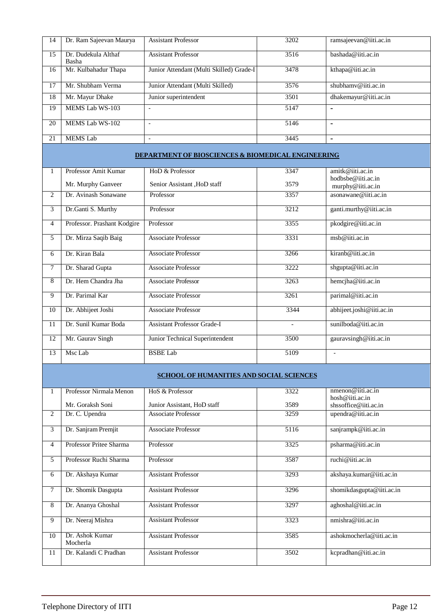| 14 | Dr. Ram Sajeevan Maurya      | <b>Assistant Professor</b>               | 3202 | ramsajeevan@iiti.ac.in |
|----|------------------------------|------------------------------------------|------|------------------------|
| 15 | Dr. Dudekula Althaf<br>Basha | <b>Assistant Professor</b>               | 3516 | bashada@iiti.ac.in     |
| 16 | Mr. Kulbahadur Thapa         | Junior Attendant (Multi Skilled) Grade-I | 3478 | kthapa@iiti.ac.in      |
| 17 | Mr. Shubham Verma            | Junior Attendant (Multi Skilled)         | 3576 | shubhamv@iiti.ac.in    |
| 18 | Mr. Mayur Dhake              | Junior superintendent                    | 3501 | dhakemayur@iiti.ac.in  |
| 19 | MEMS Lab WS-103              | $\overline{\phantom{0}}$                 | 5147 |                        |
| 20 | MEMS Lab WS-102              |                                          | 5146 |                        |
| 21 | <b>MEMS</b> Lab              |                                          | 3445 |                        |

## **DEPARTMENT OF BIOSCIENCES & BIOMEDICAL ENGINEERING**

|    | Professor Amit Kumar        | HoD & Professor                    | 3347              | amitk@iiti.ac.in          |
|----|-----------------------------|------------------------------------|-------------------|---------------------------|
|    |                             |                                    |                   | hodbsbe@iiti.ac.in        |
|    | Mr. Murphy Ganveer          | Senior Assistant , HoD staff       | 3579              | murphy@iiti.ac.in         |
| 2  | Dr. Avinash Sonawane        | Professor                          | 3357              | asonawane@iiti.ac.in      |
| 3  | Dr.Ganti S. Murthy          | Professor                          | 3212              | ganti.murthy@iiti.ac.in   |
| 4  | Professor. Prashant Kodgire | Professor                          | 3355              | pkodgire@iiti.ac.in       |
| 5  | Dr. Mirza Saqib Baig        | Associate Professor                | 3331              | $msh@$ iiti.ac.in         |
| 6  | Dr. Kiran Bala              | Associate Professor                | 3266              | kiranb@iiti.ac.in         |
| 7  | Dr. Sharad Gupta            | <b>Associate Professor</b>         | 3222              | shgupta@iiti.ac.in        |
| 8  | Dr. Hem Chandra Jha         | <b>Associate Professor</b>         | 3263              | hemcjha@iiti.ac.in        |
| 9  | Dr. Parimal Kar             | <b>Associate Professor</b>         | 3261              | parimal@iiti.ac.in        |
| 10 | Dr. Abhijeet Joshi          | <b>Associate Professor</b>         | 3344              | abhijeet.joshi@iiti.ac.in |
| 11 | Dr. Sunil Kumar Boda        | <b>Assistant Professor Grade-I</b> | $\qquad \qquad -$ | sunilboda@iiti.ac.in      |
| 12 | Mr. Gaurav Singh            | Junior Technical Superintendent    | 3500              | gauravsingh@iiti.ac.in    |
| 13 | Msc Lab                     | <b>BSBE Lab</b>                    | 5109              |                           |

## **SCHOOL OF HUMANITIES AND SOCIAL SCIENCES**

|        | Professor Nirmala Menon | HoS & Professor             | 3322 | $n$ menon@iiti.ac.in      |
|--------|-------------------------|-----------------------------|------|---------------------------|
|        |                         |                             |      | hosh@iiti.ac.in           |
|        | Mr. Goraksh Soni        | Junior Assistant, HoD staff | 3589 | shssoffice@iiti.ac.in     |
| 2      | Dr. C. Upendra          | <b>Associate Professor</b>  | 3259 | upendra@iiti.ac.in        |
|        |                         |                             |      |                           |
| 3      | Dr. Sanjram Premjit     | <b>Associate Professor</b>  | 5116 | sanjrampk@iiti.ac.in      |
|        |                         |                             |      |                           |
| 4      | Professor Pritee Sharma | Professor                   | 3325 | psharma@iiti.ac.in        |
|        |                         |                             |      |                           |
| 5      | Professor Ruchi Sharma  | Professor                   | 3587 | ruchi@iiti.ac.in          |
|        |                         |                             |      |                           |
| 6      | Dr. Akshaya Kumar       | <b>Assistant Professor</b>  | 3293 | akshaya.kumar@iiti.ac.in  |
|        |                         |                             |      |                           |
| $\tau$ | Dr. Shomik Dasgupta     | <b>Assistant Professor</b>  | 3296 | shomikdasgupta@iiti.ac.in |
|        |                         |                             |      |                           |
| 8      | Dr. Ananya Ghoshal      | <b>Assistant Professor</b>  | 3297 | aghoshal@iiti.ac.in       |
|        |                         |                             |      |                           |
| 9      | Dr. Neeraj Mishra       | <b>Assistant Professor</b>  | 3323 | nmishra@iiti.ac.in        |
|        |                         |                             |      |                           |
| 10     | Dr. Ashok Kumar         | <b>Assistant Professor</b>  | 3585 | ashokmocherla@iiti.ac.in  |
|        | Mocherla                |                             |      |                           |
| 11     | Dr. Kalandi C Pradhan   | <b>Assistant Professor</b>  | 3502 | kcpradhan@iiti.ac.in      |
|        |                         |                             |      |                           |
|        |                         |                             |      |                           |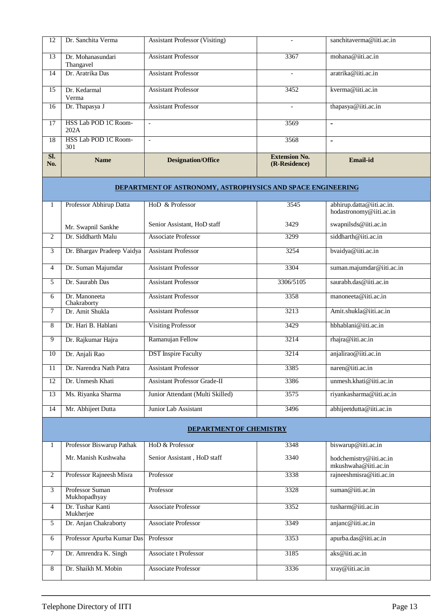| SI.<br>No. | <b>Name</b>                    | <b>Designation/Office</b>             | <b>Extension No.</b><br>(R-Residence) | <b>Email-id</b>          |
|------------|--------------------------------|---------------------------------------|---------------------------------------|--------------------------|
| 18         | HSS Lab POD 1C Room-<br>301    | $\overline{\phantom{a}}$              | 3568                                  | $\blacksquare$           |
| 17         | HSS Lab POD 1C Room-<br>202A   |                                       | 3569                                  | -                        |
| 16         | Dr. Thapasya J                 | <b>Assistant Professor</b>            | $\overline{\phantom{0}}$              | thapasya@iiti.ac.in      |
| 15         | Dr. Kedarmal<br>Verma          | <b>Assistant Professor</b>            | 3452                                  | kverma@iiti.ac.in        |
| 14         | Dr. Aratrika Das               | <b>Assistant Professor</b>            | $\qquad \qquad$                       | aratrika@iiti.ac.in      |
| 13         | Dr. Mohanasundari<br>Thangavel | <b>Assistant Professor</b>            | 3367                                  | mohana@iiti.ac.in        |
| 12         | Dr. Sanchita Verma             | <b>Assistant Professor (Visiting)</b> |                                       | sanchitaverma@iiti.ac.in |

## **DEPARTMENTOF ASTRONOMY, ASTROPHYSICS AND SPACE ENGINEERING**

|    | Professor Abhirup Datta      | HoD & Professor                     | 3545      | abhirup.datta@iiti.ac.in.<br>hodastronomy@iiti.ac.in |
|----|------------------------------|-------------------------------------|-----------|------------------------------------------------------|
|    | Mr. Swapnil Sankhe           | Senior Assistant, HoD staff         | 3429      | swapnilsds@iiti.ac.in                                |
| 2  | Dr. Siddharth Malu           | <b>Associate Professor</b>          | 3299      | siddharth@iiti.ac.in                                 |
| 3  | Dr. Bhargav Pradeep Vaidya   | <b>Assistant Professor</b>          | 3254      | bvaidya@iiti.ac.in                                   |
| 4  | Dr. Suman Majumdar           | <b>Assistant Professor</b>          | 3304      | suman.majumdar@iiti.ac.in                            |
| 5  | Dr. Saurabh Das              | <b>Assistant Professor</b>          | 3306/5105 | saurabh.das@iiti.ac.in                               |
| 6  | Dr. Manoneeta<br>Chakraborty | <b>Assistant Professor</b>          | 3358      | manoneeta@iiti.ac.in                                 |
| 7  | Dr. Amit Shukla              | <b>Assistant Professor</b>          | 3213      | Amit.shukla@iiti.ac.in                               |
| 8  | Dr. Hari B. Hablani          | <b>Visiting Professor</b>           | 3429      | hbhablani@iiti.ac.in                                 |
| 9  | Dr. Rajkumar Hajra           | Ramanujan Fellow                    | 3214      | rhajra@iiti.ac.in                                    |
| 10 | Dr. Anjali Rao               | <b>DST</b> Inspire Faculty          | 3214      | anjalirao@iiti.ac.in                                 |
| 11 | Dr. Narendra Nath Patra      | <b>Assistant Professor</b>          | 3385      | naren@iiti.ac.in                                     |
| 12 | Dr. Unmesh Khati             | <b>Assistant Professor Grade-II</b> | 3386      | unmesh.khati@iiti.ac.in                              |
| 13 | Ms. Riyanka Sharma           | Junior Attendant (Multi Skilled)    | 3575      | riyankasharma@iiti.ac.in                             |
| 14 | Mr. Abhijeet Dutta           | Junior Lab Assistant                | 3496      | abhijeetdutta@iiti.ac.in                             |

## **DEPARTMENTOF CHEMISTRY**

|   | Professor Biswarup Pathak              | HoD & Professor             | 3348 | biswarup@iiti.ac.in                            |
|---|----------------------------------------|-----------------------------|------|------------------------------------------------|
|   | Mr. Manish Kushwaha                    | Senior Assistant, HoD staff | 3340 | hodchemistry@iiti.ac.in<br>mkushwaha@iii.ac.in |
| 2 | Professor Rajneesh Misra               | Professor                   | 3338 | rajneeshmisra@iiti.ac.in                       |
| 3 | <b>Professor Suman</b><br>Mukhopadhyay | Professor                   | 3328 | suman@iiti.ac.in                               |
| 4 | Dr. Tushar Kanti<br>Mukherjee          | <b>Associate Professor</b>  | 3352 | tusharm@iiti.ac.in                             |
| 5 | Dr. Anjan Chakraborty                  | <b>Associate Professor</b>  | 3349 | anjanc@iiti.ac.in                              |
| 6 | Professor Apurba Kumar Das             | Professor                   | 3353 | apurba.das@iiti.ac.in                          |
|   | Dr. Amrendra K. Singh                  | Associate t Professor       | 3185 | aks@iiti.ac.in                                 |
| 8 | Dr. Shaikh M. Mobin                    | <b>Associate Professor</b>  | 3336 | xray@iiti.ac.in                                |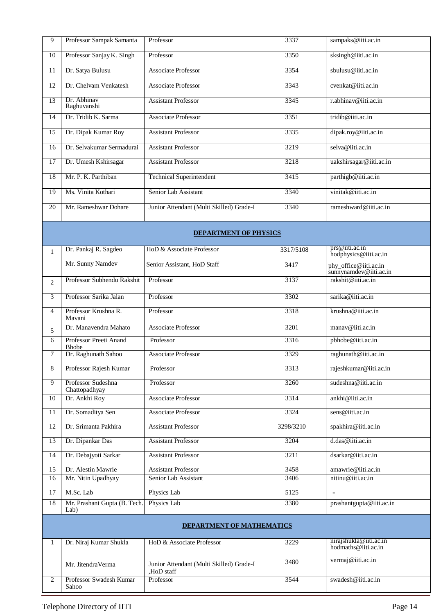| 9               | Professor Sampak Samanta               | Professor                                | 3337      | sampaks@iiti.ac.in                             |
|-----------------|----------------------------------------|------------------------------------------|-----------|------------------------------------------------|
| 10              | Professor Sanjay K. Singh              | Professor                                | 3350      | sksingh@iiti.ac.in                             |
| 11              | Dr. Satya Bulusu                       | Associate Professor                      | 3354      | sbulusu@iiti.ac.in                             |
| 12              | Dr. Chelvam Venkatesh                  | <b>Associate Professor</b>               | 3343      | $cvenkat@$ iiti.ac.in                          |
| 13              | Dr. Abhinav<br>Raghuvanshi             | <b>Assistant Professor</b>               | 3345      | r.abhinav@iiti.ac.in                           |
| 14              | Dr. Tridib K. Sarma                    | <b>Associate Professor</b>               | 3351      | tridib@iiti.ac.in                              |
| 15              | Dr. Dipak Kumar Roy                    | <b>Assistant Professor</b>               | 3335      | dipak.roy@iiti.ac.in                           |
| 16              | Dr. Selvakumar Sermadurai              | <b>Assistant Professor</b>               | 3219      | selva@iiti.ac.in                               |
| 17              | Dr. Umesh Kshirsagar                   | <b>Assistant Professor</b>               | 3218      | uakshirsagar@iiti.ac.in                        |
| 18              | Mr. P. K. Parthiban                    | <b>Technical Superintendent</b>          | 3415      | parthigb@iiti.ac.in                            |
| 19              | Ms. Vinita Kothari                     | Senior Lab Assistant                     | 3340      | vinitak@iiti.ac.in                             |
| 20              | Mr. Rameshwar Dohare                   | Junior Attendant (Multi Skilled) Grade-I | 3340      | rameshward@iiti.ac.in                          |
|                 |                                        | <b>DEPARTMENT OF PHYSICS</b>             |           |                                                |
| $\mathbf{1}$    | Dr. Pankaj R. Sagdeo                   | HoD & Associate Professor                | 3317/5108 | prs@11t1.ac.1n                                 |
|                 | Mr. Sunny Namdev                       | Senior Assistant, HoD Staff              | 3417      | hodphysics@iiti.ac.in<br>phy_office@iiti.ac.in |
| 2               | Professor Subhendu Rakshit             | Professor                                | 3137      | sunnynamdev@iiti.ac.in<br>rakshit@iiti.ac.in   |
| 3               | Professor Sarika Jalan                 | Professor                                | 3302      | sarika@iiti.ac.in                              |
|                 | Professor Krushna R.                   | Professor                                | 3318      |                                                |
| 4               | Mavani                                 |                                          |           | krushna@iiti.ac.in                             |
| 5               | Dr. Manavendra Mahato                  | <b>Associate Professor</b>               | 3201      | manav@iiti.ac.in                               |
| 6               | Professor Preeti Anand<br><b>Bhobe</b> | Professor                                | 3316      | pbhobe@iiti.ac.in                              |
| 7               | Dr. Raghunath Sahoo                    | <b>Associate Professor</b>               | 3329      | raghunath@iiti.ac.in                           |
| 8               | Professor Rajesh Kumar                 | Professor                                | 3313      | rajeshkumar@iiti.ac.in                         |
| $\overline{9}$  | Professor Sudeshna<br>Chattopadhyay    | Professor                                | 3260      | sudeshna@iiti.ac.in                            |
| 10              | Dr. Ankhi Roy                          | Associate Professor                      | 3314      | ankhi@iiti.ac.in                               |
| $\overline{11}$ | Dr. Somaditya Sen                      | <b>Associate Professor</b>               | 3324      | sens@iiti.ac.in                                |
| 12              | Dr. Srimanta Pakhira                   | <b>Assistant Professor</b>               | 3298/3210 | spakhira@iiti.ac.in                            |
| 13              | Dr. Dipankar Das                       | <b>Assistant Professor</b>               | 3204      | d.das@iiti.ac.in                               |
| 14              | Dr. Debajyoti Sarkar                   | <b>Assistant Professor</b>               | 3211      | dsarkar@iiti.ac.in                             |
| 15              | Dr. Alestin Mawrie                     | <b>Assistant Professor</b>               | 3458      | amawrie@iiti.ac.in                             |
| 16              | Mr. Nitin Upadhyay                     | Senior Lab Assistant                     | 3406      | nitinu@iiti.ac.in                              |
| $\overline{17}$ | M.Sc. Lab                              | Physics Lab                              | 5125      | $\blacksquare$                                 |
| 18              | Mr. Prashant Gupta (B. Tech.<br>Lab)   | Physics Lab                              | 3380      | prashantgupta@iiti.ac.in                       |
|                 |                                        | DEPARTMENT OF MATHEMATICS                |           |                                                |
| 1               | Dr. Niraj Kumar Shukla                 | HoD & Associate Professor                | 3229      | nirajshukla@iiti.ac.in<br>hodmaths@iiti.ac.in  |
|                 | Mr. JitendraVerma                      | Junior Attendant (Multi Skilled) Grade-I | 3480      | vermaj@iiti.ac.in                              |
| $\overline{c}$  | Professor Swadesh Kumar                | HoD staff<br>Professor                   | 3544      | swadesh@iiti.ac.in                             |

Sahoo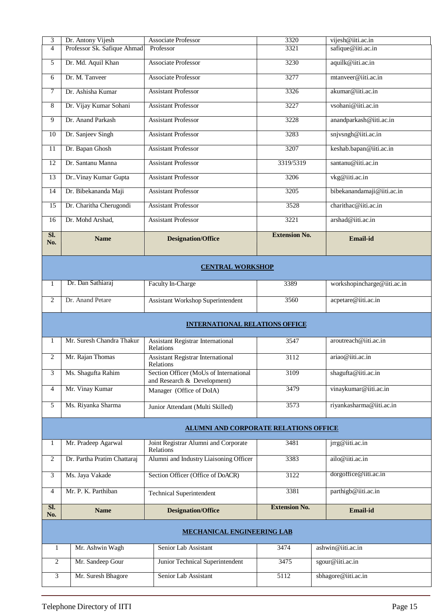| 3<br>4                                | Dr. Antony Vijesh<br>Professor Sk. Safique Ahmad | <b>Associate Professor</b><br>Professor                 | 3320<br>3321         | vijesh@iiti.ac.in<br>safique@iiti.ac.in |  |  |  |  |
|---------------------------------------|--------------------------------------------------|---------------------------------------------------------|----------------------|-----------------------------------------|--|--|--|--|
| 5                                     | Dr. Md. Aquil Khan                               | Associate Professor                                     | 3230                 | aquilk@iiti.ac.in                       |  |  |  |  |
| 6                                     | Dr. M. Tanveer                                   | <b>Associate Professor</b>                              | 3277                 | mtanveer@iiti.ac.in                     |  |  |  |  |
| 7                                     | Dr. Ashisha Kumar                                | <b>Assistant Professor</b>                              | 3326                 | akumar@iiti.ac.in                       |  |  |  |  |
| 8                                     | Dr. Vijay Kumar Sohani                           | <b>Assistant Professor</b>                              | 3227                 | vsohani@iiti.ac.in                      |  |  |  |  |
| 9                                     | Dr. Anand Parkash                                | <b>Assistant Professor</b>                              | 3228                 | anandparkash@iiti.ac.in                 |  |  |  |  |
| 10                                    | Dr. Sanjeev Singh                                | <b>Assistant Professor</b>                              | 3283                 | snjvsngh@iiti.ac.in                     |  |  |  |  |
| 11                                    | Dr. Bapan Ghosh                                  | <b>Assistant Professor</b>                              | 3207                 | keshab.bapan@iiti.ac.in                 |  |  |  |  |
| $\overline{12}$                       | Dr. Santanu Manna                                | <b>Assistant Professor</b>                              | 3319/5319            | santanu@iiti.ac.in                      |  |  |  |  |
| 13                                    | Dr. Vinay Kumar Gupta                            | <b>Assistant Professor</b>                              | 3206                 | vkg@iiti.ac.in                          |  |  |  |  |
| 14                                    | Dr. Bibekananda Maji                             | <b>Assistant Professor</b>                              | 3205                 | bibekanandamaji@iiti.ac.in              |  |  |  |  |
| 15                                    | Dr. Charitha Cherugondi                          | <b>Assistant Professor</b>                              | 3528                 | charithac@iiti.ac.in                    |  |  |  |  |
| 16                                    | Dr. Mohd Arshad,                                 | <b>Assistant Professor</b>                              | 3221                 | arshad@iiti.ac.in                       |  |  |  |  |
| SI.<br>No.                            | <b>Name</b>                                      | <b>Designation/Office</b>                               | <b>Extension No.</b> | Email-id                                |  |  |  |  |
| <b>CENTRAL WORKSHOP</b>               |                                                  |                                                         |                      |                                         |  |  |  |  |
| 1                                     | Dr. Dan Sathiaraj                                | Faculty In-Charge                                       | 3389                 | workshopincharge@iiti.ac.in             |  |  |  |  |
| $\overline{c}$                        | Dr. Anand Petare                                 | <b>Assistant Workshop Superintendent</b>                | 3560                 | acpetare@iiti.ac.in                     |  |  |  |  |
| <b>INTERNATIONAL RELATIONS OFFICE</b> |                                                  |                                                         |                      |                                         |  |  |  |  |
|                                       |                                                  |                                                         |                      |                                         |  |  |  |  |
| 1                                     | Mr. Suresh Chandra Thakur                        | <b>Assistant Registrar International</b><br>Relations   | 3547                 | aroutreach@iiti.ac.in                   |  |  |  |  |
| $\overline{c}$                        | Mr. Rajan Thomas                                 | <b>Assistant Registrar International</b>                | 3112                 | ariao@iiti.ac.in                        |  |  |  |  |
| 3                                     | Ms. Shagufta Rahim                               | Relations<br>Section Officer (MoUs of International     | 3109                 | shagufta@iiti.ac.in                     |  |  |  |  |
| 4                                     | Mr. Vinay Kumar                                  | and Research & Development)<br>Manager (Office of DoIA) | 3479                 | vinaykumar@iiti.ac.in                   |  |  |  |  |
| 5                                     | Ms. Riyanka Sharma                               | Junior Attendant (Multi Skilled)                        | 3573                 | riyankasharma@iiti.ac.in                |  |  |  |  |
|                                       |                                                  | <b>ALUMNI AND CORPORATE RELATIONS OFFICE</b>            |                      |                                         |  |  |  |  |
| 1                                     | Mr. Pradeep Agarwal                              | Joint Registrar Alumni and Corporate<br>Relations       | 3481                 | jrrg@iiti.ac.in                         |  |  |  |  |
| 2                                     | Dr. Partha Pratim Chattaraj                      | Alumni and Industry Liaisoning Officer                  | 3383                 | ailo@iiti.ac.in                         |  |  |  |  |
| 3                                     | Ms. Jaya Vakade                                  | Section Officer (Office of DoACR)                       | 3122                 | dorgoffice@iiti.ac.in                   |  |  |  |  |
| 4                                     | Mr. P. K. Parthiban                              | <b>Technical Superintendent</b>                         | 3381                 | parthigb@iiti.ac.in                     |  |  |  |  |
| SI.<br>No.                            | <b>Name</b>                                      | <b>Designation/Office</b>                               | <b>Extension No.</b> | Email-id                                |  |  |  |  |
|                                       |                                                  | <b>MECHANICAL ENGINEERING LAB</b>                       |                      |                                         |  |  |  |  |
| $\mathbf{1}$                          | Mr. Ashwin Wagh                                  | Senior Lab Assistant                                    | 3474                 | ashwin@iiti.ac.in                       |  |  |  |  |
| $\overline{2}$                        | Mr. Sandeep Gour                                 | Junior Technical Superintendent                         | 3475                 | sgour@iiti.ac.in                        |  |  |  |  |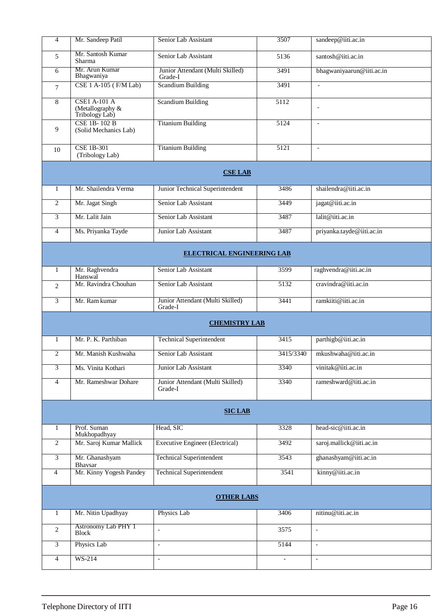| $\overline{4}$ | Mr. Sandeep Patil                                         | Senior Lab Assistant                        | 3507      | sandeep@iiti.ac.in        |  |  |  |  |
|----------------|-----------------------------------------------------------|---------------------------------------------|-----------|---------------------------|--|--|--|--|
| 5              | Mr. Santosh Kumar<br>Sharma                               | Senior Lab Assistant                        | 5136      | santosh@iiti.ac.in        |  |  |  |  |
| 6              | Mr. Arun Kumar<br>Bhagwaniya                              | Junior Attendant (Multi Skilled)<br>Grade-I | 3491      | bhagwaniyaarun@iiti.ac.in |  |  |  |  |
| 7              | CSE 1 A-105 (F/M Lab)                                     | <b>Scandium Building</b>                    | 3491      | $\mathbb{L}$              |  |  |  |  |
| 8              | <b>CSE1 A-101 A</b><br>(Metallography &<br>Tribology Lab) | <b>Scandium Building</b>                    | 5112      | $\overline{\phantom{a}}$  |  |  |  |  |
| 9              | <b>CSE 1B-102 B</b><br>(Solid Mechanics Lab)              | <b>Titanium Building</b>                    | 5124      | $\overline{\phantom{a}}$  |  |  |  |  |
| 10             | <b>CSE 1B-301</b><br>(Tribology Lab)                      | <b>Titanium Building</b>                    | 5121      | $\blacksquare$            |  |  |  |  |
|                |                                                           | <b>CSE LAB</b>                              |           |                           |  |  |  |  |
| $\mathbf{1}$   | Mr. Shailendra Verma                                      | Junior Technical Superintendent             | 3486      | shailendra@iiti.ac.in     |  |  |  |  |
| $\overline{2}$ | Mr. Jagat Singh                                           | Senior Lab Assistant                        | 3449      | jagat@iiti.ac.in          |  |  |  |  |
| 3              | Mr. Lalit Jain                                            | Senior Lab Assistant                        | 3487      | lalit@iiti.ac.in          |  |  |  |  |
| $\overline{4}$ | Ms. Priyanka Tayde                                        | Junior Lab Assistant                        | 3487      | priyanka.tayde@iiti.ac.in |  |  |  |  |
|                | <b>ELECTRICAL ENGINEERING LAB</b>                         |                                             |           |                           |  |  |  |  |
| $\mathbf{1}$   | Mr. Raghvendra<br>Hanswal                                 | Senior Lab Assistant                        | 3599      | raghvendra@iiti.ac.in     |  |  |  |  |
| 2              | Mr. Ravindra Chouhan                                      | Senior Lab Assistant                        | 5132      | cravindra@iiti.ac.in      |  |  |  |  |
| 3              | Mr. Ram kumar                                             | Junior Attendant (Multi Skilled)<br>Grade-I | 3441      | ramkiiti@iiti.ac.in       |  |  |  |  |
|                | <b>CHEMISTRY LAB</b>                                      |                                             |           |                           |  |  |  |  |
| $\mathbf{1}$   | Mr. P. K. Parthiban                                       | <b>Technical Superintendent</b>             | 3415      | parthigb@iiti.ac.in       |  |  |  |  |
| 2              | Mr. Manish Kushwaha                                       | Senior Lab Assistant                        | 3415/3340 | mkushwaha@iiti.ac.in      |  |  |  |  |
| 3              | Ms. Vinita Kothari                                        | Junior Lab Assistant                        | 3340      | vinitak@iiti.ac.in        |  |  |  |  |
| $\overline{4}$ | Mr. Rameshwar Dohare                                      | Junior Attendant (Multi Skilled)<br>Grade-I | 3340      | rameshward@iiti.ac.in     |  |  |  |  |
|                | <b>SIC LAB</b>                                            |                                             |           |                           |  |  |  |  |
| 1              | Prof. Suman<br>Mukhopadhyay                               | Head, SIC                                   | 3328      | head-sic@iiti.ac.in       |  |  |  |  |
| $\overline{2}$ | Mr. Saroj Kumar Mallick                                   | <b>Executive Engineer (Electrical)</b>      | 3492      | saroj.mallick@iiti.ac.in  |  |  |  |  |
| 3              | Mr. Ghanashyam<br>Bhavsar                                 | <b>Technical Superintendent</b>             | 3543      | ghanashyam@iiti.ac.in     |  |  |  |  |
| $\overline{4}$ | Mr. Kinny Yogesh Pandey                                   | <b>Technical Superintendent</b>             | 3541      | kinny@iiti.ac.in          |  |  |  |  |
|                | <b>OTHER LABS</b>                                         |                                             |           |                           |  |  |  |  |
| 1              | Mr. Nitin Upadhyay                                        | Physics Lab                                 | 3406      | nitinu@iiti.ac.in         |  |  |  |  |
| $\overline{2}$ | <b>Astronomy Lab PHY 1</b><br><b>Block</b>                | $\overline{\phantom{a}}$                    | 3575      | $\overline{\phantom{a}}$  |  |  |  |  |
| 3              | Physics Lab                                               | $\overline{a}$                              | 5144      | $\blacksquare$            |  |  |  |  |
| $\overline{4}$ | WS-214                                                    | $\overline{\phantom{a}}$                    |           | $\overline{\phantom{a}}$  |  |  |  |  |
|                |                                                           |                                             |           |                           |  |  |  |  |